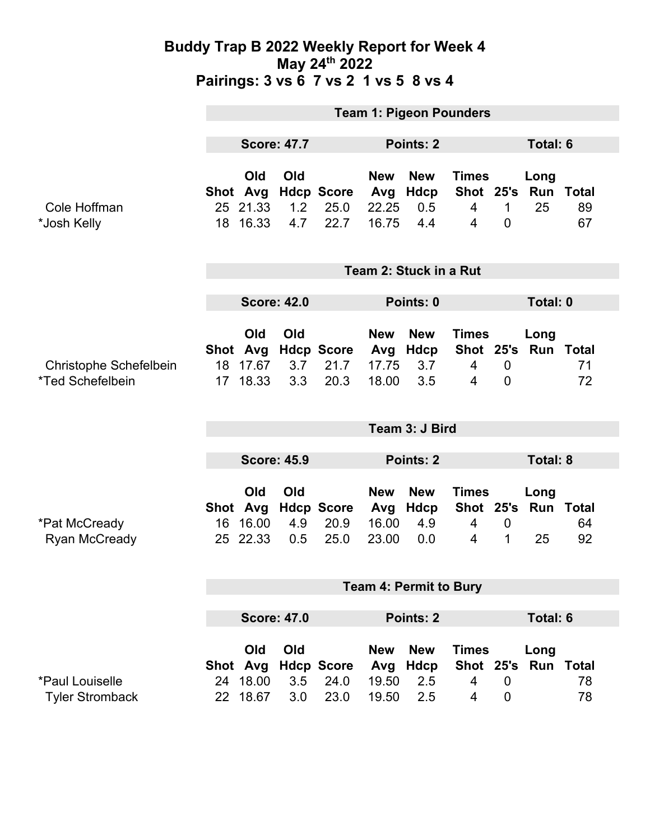|                                                         | <b>Team 1: Pigeon Pounders</b> |                                         |                    |                                   |                                     |                                         |                                                  |                                 |                             |                          |  |
|---------------------------------------------------------|--------------------------------|-----------------------------------------|--------------------|-----------------------------------|-------------------------------------|-----------------------------------------|--------------------------------------------------|---------------------------------|-----------------------------|--------------------------|--|
|                                                         | <b>Score: 47.7</b>             |                                         |                    | Points: 2                         |                                     |                                         |                                                  |                                 | Total: 6                    |                          |  |
| Cole Hoffman<br>*Josh Kelly                             |                                | Old<br>Shot Avg<br>25 21.33<br>18 16.33 | Old<br>1.2<br>4.7  | <b>Hdcp Score</b><br>25.0<br>22.7 | <b>New</b><br>Avg<br>22.25<br>16.75 | <b>New</b><br><b>Hdcp</b><br>0.5<br>4.4 | <b>Times</b><br>Shot 25's<br>$\overline{4}$<br>4 | 1<br>$\overline{0}$             | Long<br>Run<br>25           | <b>Total</b><br>89<br>67 |  |
|                                                         | Team 2: Stuck in a Rut         |                                         |                    |                                   |                                     |                                         |                                                  |                                 |                             |                          |  |
|                                                         | <b>Score: 42.0</b>             |                                         |                    |                                   | Points: 0                           |                                         |                                                  |                                 | Total: 0                    |                          |  |
| Christophe Schefelbein<br>*Ted Schefelbein              |                                | Old<br>Shot Avg<br>18 17.67<br>17 18.33 | Old<br>3.7<br>3.3  | <b>Hdcp Score</b><br>21.7<br>20.3 | <b>New</b><br>Avg<br>17.75<br>18.00 | <b>New</b><br><b>Hdcp</b><br>3.7<br>3.5 | <b>Times</b><br>$\overline{4}$<br>4              | $\boldsymbol{0}$<br>$\mathbf 0$ | Long<br>Shot 25's Run Total | 71<br>72                 |  |
|                                                         | Team 3: J Bird                 |                                         |                    |                                   |                                     |                                         |                                                  |                                 |                             |                          |  |
|                                                         | <b>Score: 45.9</b>             |                                         |                    |                                   | Points: 2                           |                                         |                                                  | <b>Total: 8</b>                 |                             |                          |  |
|                                                         |                                | Old<br>Shot Avg                         | Old                | <b>Hdcp Score</b>                 | <b>New</b><br>Avg                   | <b>New</b><br>Hdcp                      | <b>Times</b>                                     |                                 | Long<br>Shot 25's Run Total |                          |  |
| *Pat McCready<br><b>Ryan McCready</b>                   | 16                             | 16.00<br>25 22.33                       | 4.9<br>0.5         | 20.9<br>25.0                      | 16.00<br>23.00                      | 4.9<br>0.0                              | 4<br>4                                           | $\overline{0}$<br>$\mathbf{1}$  | 25                          | 64<br>92                 |  |
|                                                         | <b>Team 4: Permit to Bury</b>  |                                         |                    |                                   |                                     |                                         |                                                  |                                 |                             |                          |  |
|                                                         |                                |                                         | <b>Score: 47.0</b> | Points: 2                         |                                     |                                         |                                                  | <b>Total: 6</b>                 |                             |                          |  |
|                                                         |                                | Old<br>Shot Avg                         | Old                | <b>Hdcp Score</b>                 | <b>New</b><br>Avg                   | <b>New</b><br><b>Hdcp</b>               | <b>Times</b>                                     |                                 | Long<br>Shot 25's Run Total |                          |  |
| <i><b>*Paul Louiselle</b></i><br><b>Tyler Stromback</b> | 24<br>22                       | 18.00<br>18.67                          | 3.5<br>3.0         | 24.0<br>23.0                      | 19.50<br>19.50                      | 2.5<br>2.5                              | 4<br>4                                           | $\overline{0}$<br>$\mathbf 0$   |                             | 78<br>78                 |  |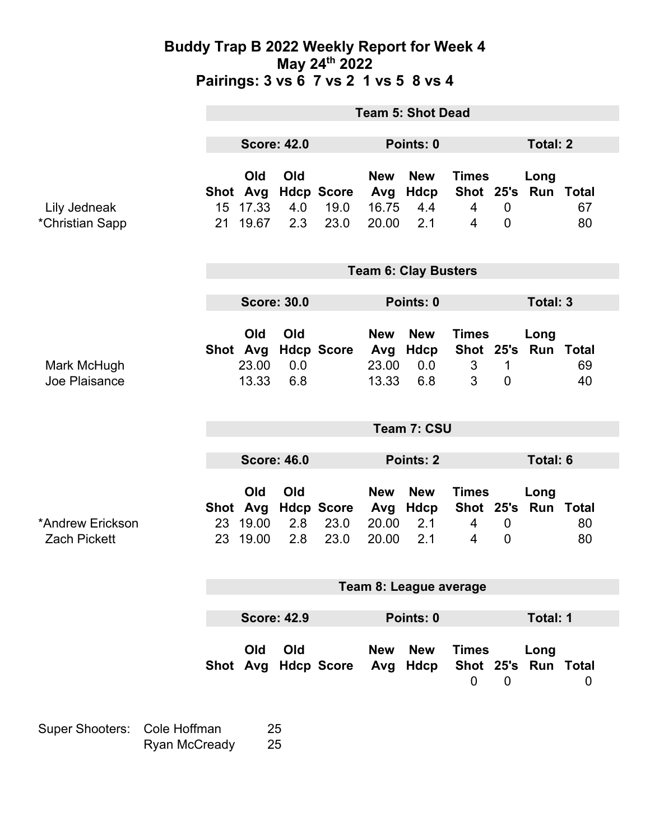|                                         | <b>Team 5: Shot Dead</b>    |                                      |                    |                                   |                                     |                                  |                                     |                                    |                             |          |
|-----------------------------------------|-----------------------------|--------------------------------------|--------------------|-----------------------------------|-------------------------------------|----------------------------------|-------------------------------------|------------------------------------|-----------------------------|----------|
|                                         | <b>Score: 42.0</b>          |                                      |                    | Points: 0                         |                                     |                                  |                                     | <b>Total: 2</b>                    |                             |          |
| Lily Jedneak<br>*Christian Sapp         | 21                          | Old<br>Shot Avg<br>15 17.33<br>19.67 | Old<br>4.0<br>2.3  | <b>Hdcp Score</b><br>19.0<br>23.0 | <b>New</b><br>Avg<br>16.75<br>20.00 | <b>New</b><br>Hdcp<br>4.4<br>2.1 | <b>Times</b><br>$\overline{4}$<br>4 | $\mathbf 0$<br>$\overline{0}$      | Long<br>Shot 25's Run Total | 67<br>80 |
|                                         | <b>Team 6: Clay Busters</b> |                                      |                    |                                   |                                     |                                  |                                     |                                    |                             |          |
|                                         | <b>Score: 30.0</b>          |                                      |                    |                                   | Points: 0                           |                                  |                                     |                                    | Total: 3                    |          |
| Mark McHugh<br>Joe Plaisance            |                             | Old<br>23.00<br>13.33                | Old<br>0.0<br>6.8  | Shot Avg Hdcp Score               | <b>New</b><br>Avg<br>23.00<br>13.33 | <b>New</b><br>Hdcp<br>0.0<br>6.8 | <b>Times</b><br>3<br>3              | 1<br>$\overline{0}$                | Long<br>Shot 25's Run Total | 69<br>40 |
|                                         | Team 7: CSU                 |                                      |                    |                                   |                                     |                                  |                                     |                                    |                             |          |
|                                         | <b>Score: 46.0</b>          |                                      |                    | <b>Points: 2</b>                  |                                     |                                  |                                     | <b>Total: 6</b>                    |                             |          |
| *Andrew Erickson<br><b>Zach Pickett</b> | Shot Avg                    | Old<br>23 19.00<br>23 19.00          | Old<br>2.8<br>2.8  | <b>Hdcp Score</b><br>23.0<br>23.0 | <b>New</b><br>Avg<br>20.00<br>20.00 | <b>New</b><br>Hdcp<br>2.1<br>2.1 | <b>Times</b><br>4<br>4              | $\boldsymbol{0}$<br>$\overline{0}$ | Long<br>Shot 25's Run Total | 80<br>80 |
|                                         | Team 8: League average      |                                      |                    |                                   |                                     |                                  |                                     |                                    |                             |          |
|                                         |                             |                                      | <b>Score: 42.9</b> |                                   |                                     | Points: 0                        |                                     |                                    | Total: 1                    |          |
|                                         |                             | Old                                  | Old                | Shot Avg Hdcp Score               | <b>New</b><br>Avg                   | <b>New</b><br>Hdcp               | <b>Times</b><br>$\mathbf 0$         | $\overline{0}$                     | Long<br>Shot 25's Run Total | 0        |

Super Shooters: Cole Hoffman 25 Ryan McCready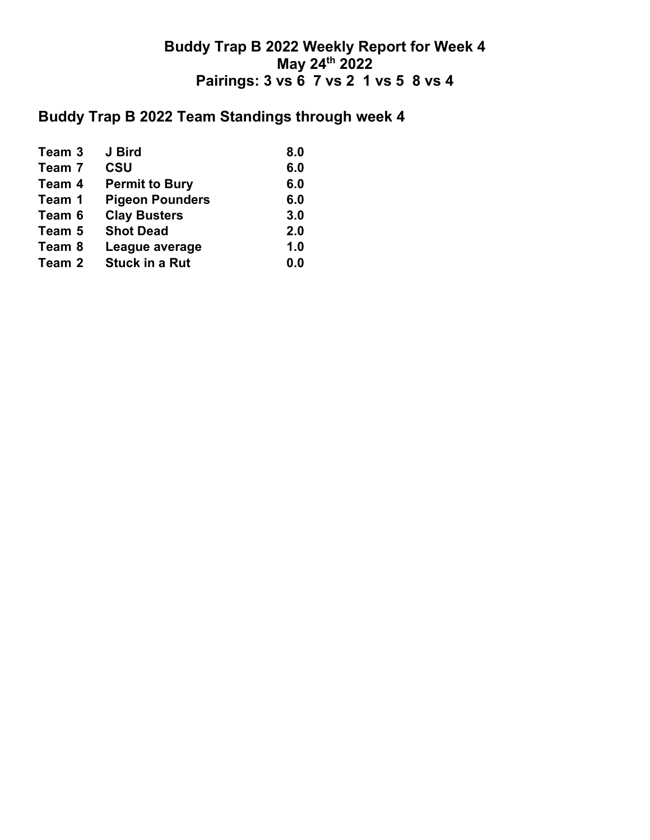# **Buddy Trap B 2022 Team Standings through week 4**

| Team 3 | J Bird                 | 8.0 |
|--------|------------------------|-----|
| Team 7 | <b>CSU</b>             | 6.0 |
| Team 4 | <b>Permit to Bury</b>  | 6.0 |
| Team 1 | <b>Pigeon Pounders</b> | 6.0 |
| Team 6 | <b>Clay Busters</b>    | 3.0 |
| Team 5 | <b>Shot Dead</b>       | 2.0 |
| Team 8 | League average         | 1.0 |
| Team 2 | <b>Stuck in a Rut</b>  | 0.0 |
|        |                        |     |